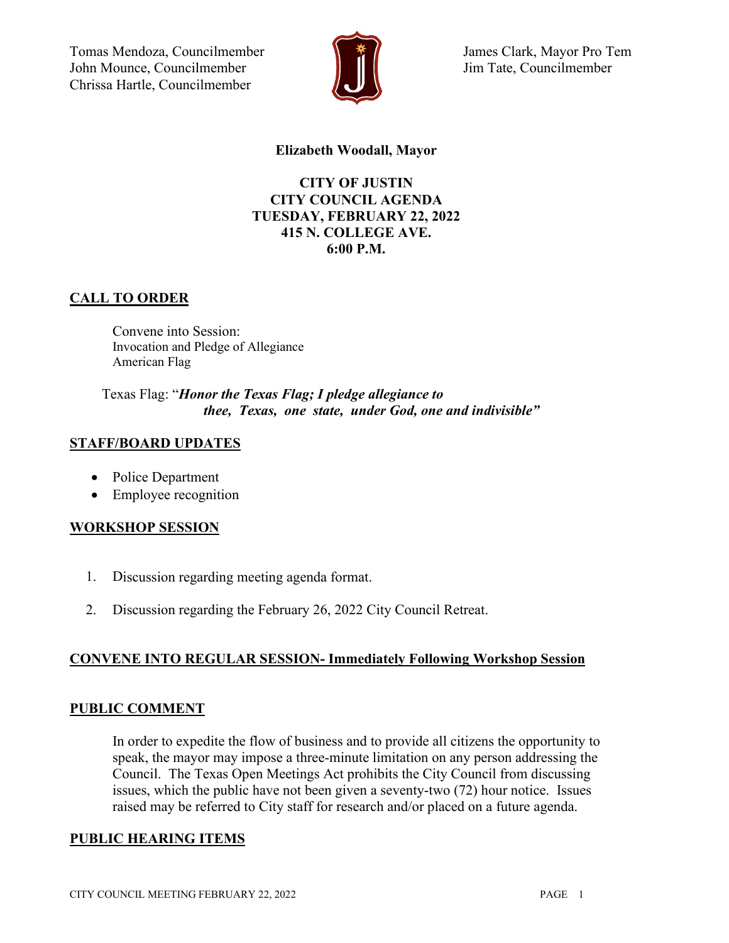Tomas Mendoza, Councilmember John Mounce, Councilmember Chrissa Hartle, Councilmember



James Clark, Mayor Pro Tem Jim Tate, Councilmember

### **Elizabeth Woodall, Mayor**

## **CITY OF JUSTIN CITY COUNCIL AGENDA TUESDAY, FEBRUARY 22, 2022 415 N. COLLEGE AVE. 6:00 P.M.**

## **CALL TO ORDER**

Convene into Session: Invocation and Pledge of Allegiance American Flag

Texas Flag: "*Honor the Texas Flag; I pledge allegiance to thee, Texas, one state, under God, one and indivisible"*

## **STAFF/BOARD UPDATES**

- Police Department
- Employee recognition

## **WORKSHOP SESSION**

- 1. Discussion regarding meeting agenda format.
- 2. Discussion regarding the February 26, 2022 City Council Retreat.

## **CONVENE INTO REGULAR SESSION- Immediately Following Workshop Session**

#### **PUBLIC COMMENT**

In order to expedite the flow of business and to provide all citizens the opportunity to speak, the mayor may impose a three-minute limitation on any person addressing the Council. The Texas Open Meetings Act prohibits the City Council from discussing issues, which the public have not been given a seventy-two (72) hour notice. Issues raised may be referred to City staff for research and/or placed on a future agenda.

#### **PUBLIC HEARING ITEMS**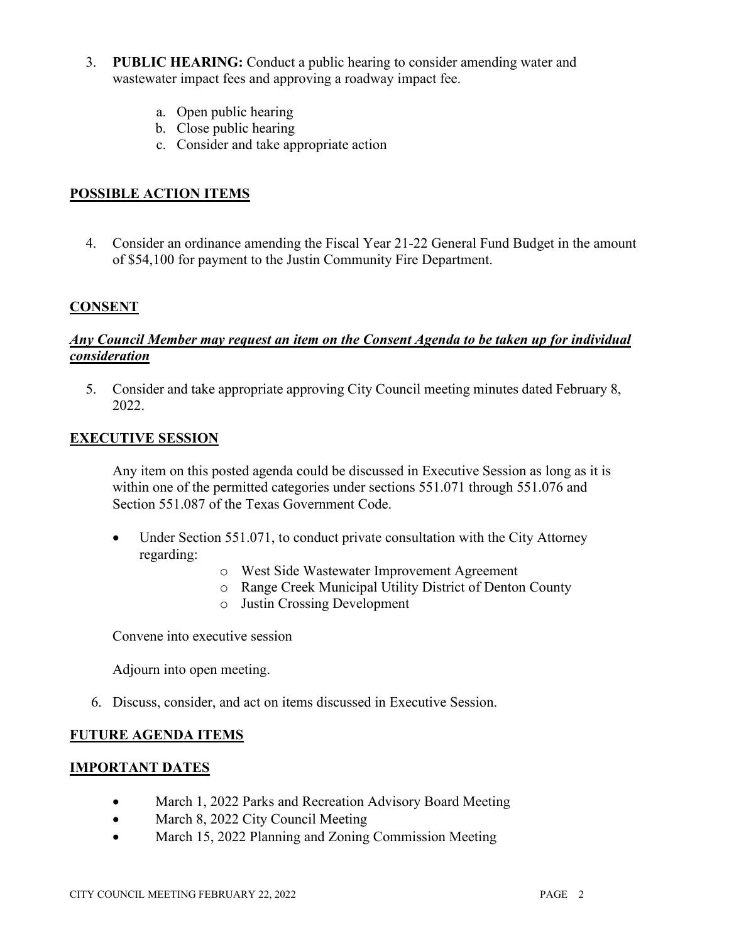- 3. **PUBLIC HEARING:** Conduct a public hearing to consider amending water and wastewater impact fees and approving a roadway impact fee.
	- a. Open public hearing
	- b. Close public hearing
	- c. Consider and take appropriate action

## **POSSIBLE ACTION ITEMS**

4. Consider an ordinance amending the Fiscal Year 21-22 General Fund Budget in the amount of \$54,100 for payment to the Justin Community Fire Department.

### **CONSENT**

### *Any Council Member may request an item on the Consent Agenda to be taken up for individual consideration*

5. Consider and take appropriate approving City Council meeting minutes dated February 8, 2022.

#### **EXECUTIVE SESSION**

Any item on this posted agenda could be discussed in Executive Session as long as it is within one of the permitted categories under sections 551.071 through 551.076 and Section 551.087 of the Texas Government Code.

- Under Section 551.071, to conduct private consultation with the City Attorney regarding:
	- o West Side Wastewater Improvement Agreement
	- o Range Creek Municipal Utility District of Denton County
	- o Justin Crossing Development

Convene into executive session

Adjourn into open meeting.

6. Discuss, consider, and act on items discussed in Executive Session.

#### **FUTURE AGENDA ITEMS**

#### **IMPORTANT DATES**

- March 1, 2022 Parks and Recreation Advisory Board Meeting
- March 8, 2022 City Council Meeting
- March 15, 2022 Planning and Zoning Commission Meeting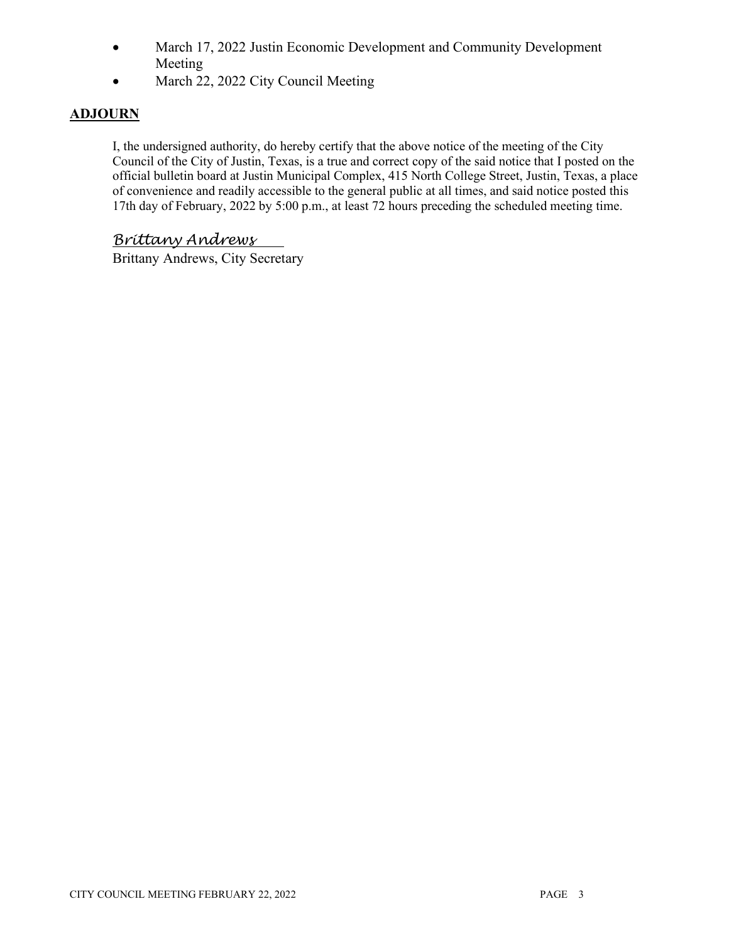- March 17, 2022 Justin Economic Development and Community Development Meeting
- March 22, 2022 City Council Meeting

## **ADJOURN**

I, the undersigned authority, do hereby certify that the above notice of the meeting of the City Council of the City of Justin, Texas, is a true and correct copy of the said notice that I posted on the official bulletin board at Justin Municipal Complex, 415 North College Street, Justin, Texas, a place of convenience and readily accessible to the general public at all times, and said notice posted this 17th day of February, 2022 by 5:00 p.m., at least 72 hours preceding the scheduled meeting time.

# *Brittany Andrews*

Brittany Andrews, City Secretary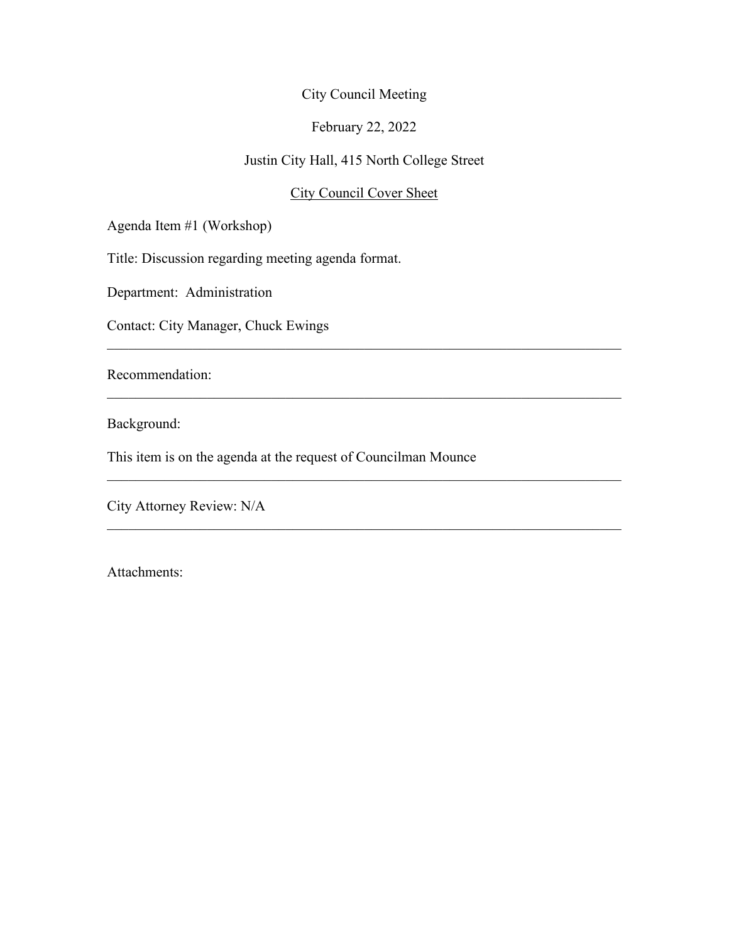## February 22, 2022

# Justin City Hall, 415 North College Street

## City Council Cover Sheet

 $\mathcal{L}_\text{G}$  , and the contribution of the contribution of the contribution of the contribution of the contribution of the contribution of the contribution of the contribution of the contribution of the contribution of t

 $\mathcal{L}_\text{G}$  , and the contribution of the contribution of the contribution of the contribution of the contribution of the contribution of the contribution of the contribution of the contribution of the contribution of t

 $\mathcal{L}_\text{G}$  , and the contribution of the contribution of the contribution of the contribution of the contribution of the contribution of the contribution of the contribution of the contribution of the contribution of t

 $\mathcal{L}_\text{G}$  , and the contribution of the contribution of the contribution of the contribution of the contribution of the contribution of the contribution of the contribution of the contribution of the contribution of t

Agenda Item #1 (Workshop)

Title: Discussion regarding meeting agenda format.

Department: Administration

Contact: City Manager, Chuck Ewings

Recommendation:

Background:

This item is on the agenda at the request of Councilman Mounce

City Attorney Review: N/A

Attachments: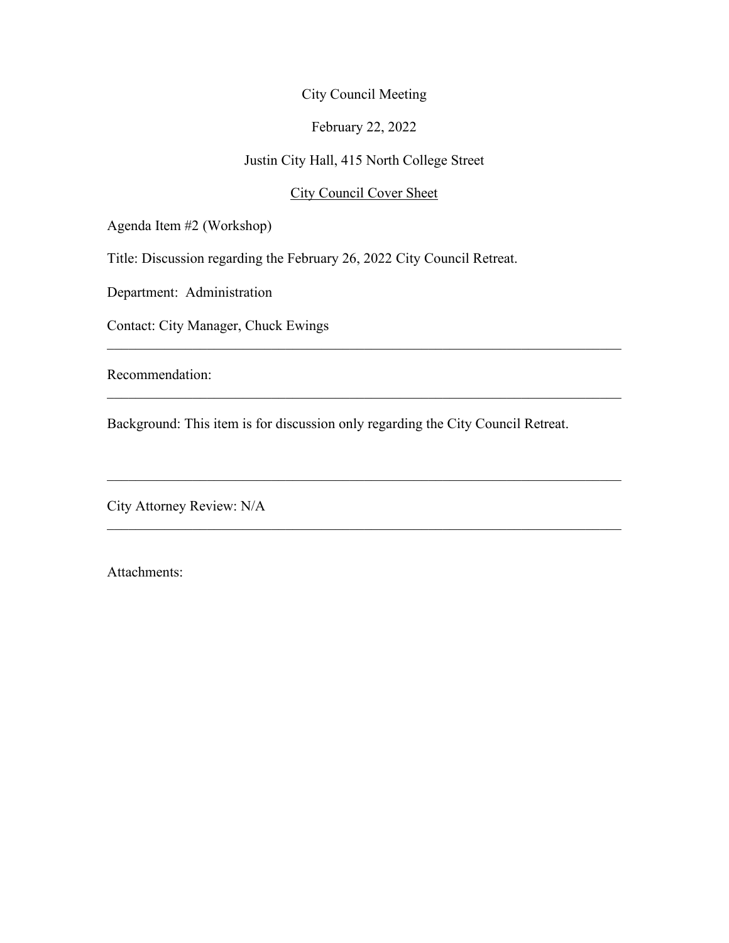#### February 22, 2022

# Justin City Hall, 415 North College Street

## City Council Cover Sheet

 $\mathcal{L}_\text{G}$  , and the contribution of the contribution of the contribution of the contribution of the contribution of the contribution of the contribution of the contribution of the contribution of the contribution of t

 $\mathcal{L}_\text{G}$  , and the contribution of the contribution of the contribution of the contribution of the contribution of the contribution of the contribution of the contribution of the contribution of the contribution of t

 $\mathcal{L}_\text{G}$  , and the contribution of the contribution of the contribution of the contribution of the contribution of the contribution of the contribution of the contribution of the contribution of the contribution of t

 $\mathcal{L}_\text{G}$  , and the contribution of the contribution of the contribution of the contribution of the contribution of the contribution of the contribution of the contribution of the contribution of the contribution of t

Agenda Item #2 (Workshop)

Title: Discussion regarding the February 26, 2022 City Council Retreat.

Department: Administration

Contact: City Manager, Chuck Ewings

Recommendation:

Background: This item is for discussion only regarding the City Council Retreat.

City Attorney Review: N/A

Attachments: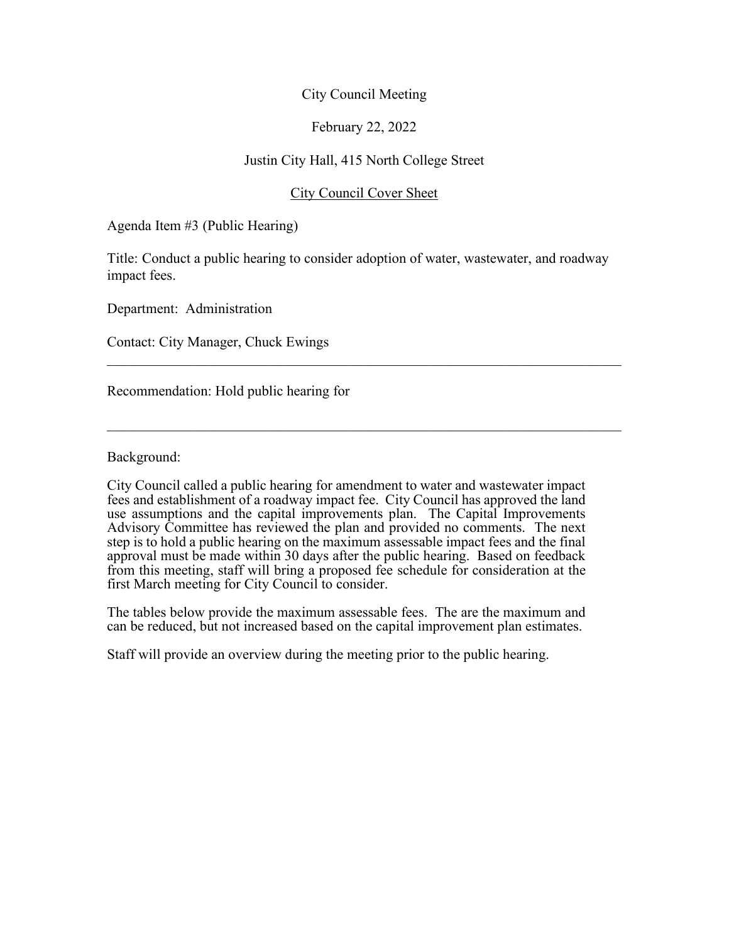### February 22, 2022

### Justin City Hall, 415 North College Street

#### City Council Cover Sheet

Agenda Item #3 (Public Hearing)

Title: Conduct a public hearing to consider adoption of water, wastewater, and roadway impact fees.

 $\_$  , and the set of the set of the set of the set of the set of the set of the set of the set of the set of the set of the set of the set of the set of the set of the set of the set of the set of the set of the set of th

 $\_$  , and the set of the set of the set of the set of the set of the set of the set of the set of the set of the set of the set of the set of the set of the set of the set of the set of the set of the set of the set of th

Department: Administration

Contact: City Manager, Chuck Ewings

Recommendation: Hold public hearing for

Background:

City Council called a public hearing for amendment to water and wastewater impact fees and establishment of a roadway impact fee. City Council has approved the land use assumptions and the capital improvements plan. The Capital Improvements Advisory Committee has reviewed the plan and provided no comments. The next step is to hold a public hearing on the maximum assessable impact fees and the final approval must be made within 30 days after the public hearing. Based on feedback from this meeting, staff will bring a proposed fee schedule for consideration at the first March meeting for City Council to consider.

The tables below provide the maximum assessable fees. The are the maximum and can be reduced, but not increased based on the capital improvement plan estimates.

Staff will provide an overview during the meeting prior to the public hearing.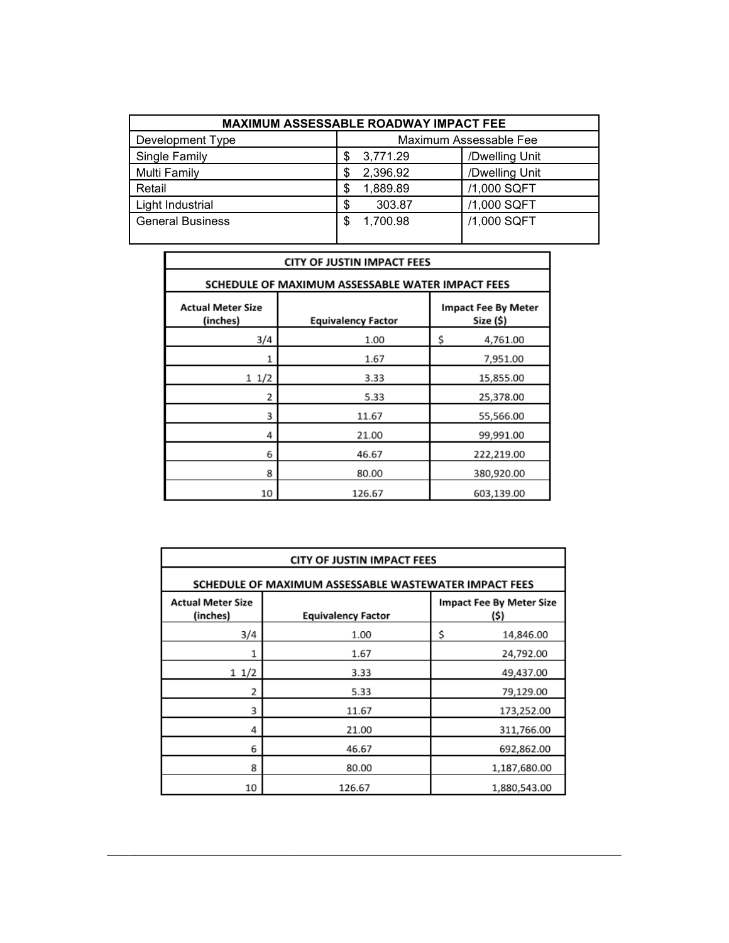| <b>MAXIMUM ASSESSABLE ROADWAY IMPACT FEE</b> |                        |                |  |  |  |  |
|----------------------------------------------|------------------------|----------------|--|--|--|--|
| Development Type                             | Maximum Assessable Fee |                |  |  |  |  |
| Single Family                                | 3,771.29<br>\$         | /Dwelling Unit |  |  |  |  |
| <b>Multi Family</b>                          | 2,396.92<br>\$         | /Dwelling Unit |  |  |  |  |
| Retail                                       | 1,889.89<br>\$         | /1,000 SQFT    |  |  |  |  |
| Light Industrial                             | 303.87<br>\$           | /1,000 SQFT    |  |  |  |  |
| <b>General Business</b>                      | 1,700.98<br>S          | /1,000 SQFT    |  |  |  |  |

| CITY OF JUSTIN IMPACT FEES                       |                           |                                         |  |  |  |  |
|--------------------------------------------------|---------------------------|-----------------------------------------|--|--|--|--|
| SCHEDULE OF MAXIMUM ASSESSABLE WATER IMPACT FEES |                           |                                         |  |  |  |  |
| <b>Actual Meter Size</b><br>(inches)             | <b>Equivalency Factor</b> | <b>Impact Fee By Meter</b><br>Size (\$) |  |  |  |  |
| 3/4                                              | 1.00                      | \$<br>4,761.00                          |  |  |  |  |
| 1                                                | 1.67                      | 7,951.00                                |  |  |  |  |
| 11/2                                             | 3.33                      | 15,855.00                               |  |  |  |  |
| 2                                                | 5.33                      | 25,378.00                               |  |  |  |  |
| 3                                                | 11.67                     | 55,566.00                               |  |  |  |  |
| 4                                                | 21.00                     | 99,991.00                               |  |  |  |  |
| 6                                                | 46.67                     | 222,219.00                              |  |  |  |  |
| 8                                                | 80.00                     | 380,920.00                              |  |  |  |  |
| 10                                               | 126.67                    | 603,139.00                              |  |  |  |  |

| <b>CITY OF JUSTIN IMPACT FEES</b>                                 |        |                                         |  |  |  |  |
|-------------------------------------------------------------------|--------|-----------------------------------------|--|--|--|--|
| SCHEDULE OF MAXIMUM ASSESSABLE WASTEWATER IMPACT FEES             |        |                                         |  |  |  |  |
| <b>Actual Meter Size</b><br>(inches)<br><b>Equivalency Factor</b> |        | <b>Impact Fee By Meter Size</b><br>(\$) |  |  |  |  |
| 3/4                                                               | 1.00   | \$<br>14,846.00                         |  |  |  |  |
| 1                                                                 | 1.67   | 24,792.00                               |  |  |  |  |
| 11/2                                                              | 3.33   | 49,437.00                               |  |  |  |  |
| 2                                                                 | 5.33   | 79,129.00                               |  |  |  |  |
| 3                                                                 | 11.67  | 173,252.00                              |  |  |  |  |
| 4                                                                 | 21.00  | 311,766.00                              |  |  |  |  |
| 6                                                                 | 46.67  | 692,862.00                              |  |  |  |  |
| 8                                                                 | 80.00  | 1,187,680.00                            |  |  |  |  |
| 10                                                                | 126.67 | 1,880,543.00                            |  |  |  |  |

 $\mathcal{L}_\text{G}$  , and the contribution of the contribution of the contribution of the contribution of the contribution of the contribution of the contribution of the contribution of the contribution of the contribution of t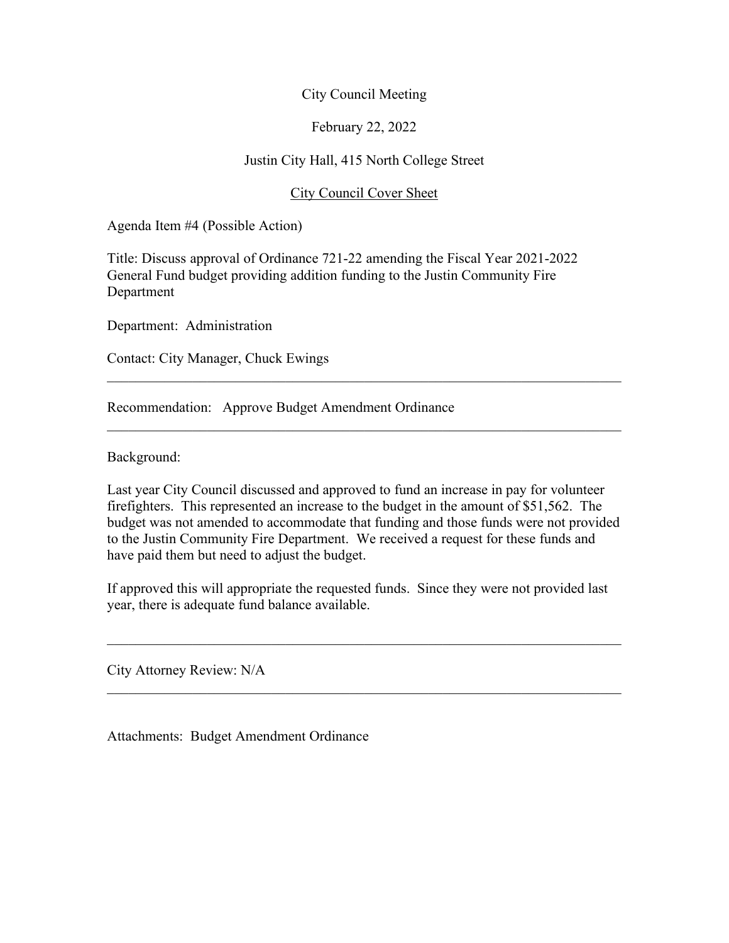### February 22, 2022

### Justin City Hall, 415 North College Street

### City Council Cover Sheet

Agenda Item #4 (Possible Action)

Title: Discuss approval of Ordinance 721-22 amending the Fiscal Year 2021-2022 General Fund budget providing addition funding to the Justin Community Fire Department

Department: Administration

Contact: City Manager, Chuck Ewings

Recommendation: Approve Budget Amendment Ordinance

Background:

Last year City Council discussed and approved to fund an increase in pay for volunteer firefighters. This represented an increase to the budget in the amount of \$51,562. The budget was not amended to accommodate that funding and those funds were not provided to the Justin Community Fire Department. We received a request for these funds and have paid them but need to adjust the budget.

 $\mathcal{L}_\text{G}$  , and the contribution of the contribution of the contribution of the contribution of the contribution of the contribution of the contribution of the contribution of the contribution of the contribution of t

If approved this will appropriate the requested funds. Since they were not provided last year, there is adequate fund balance available.

 $\mathcal{L}_\text{G}$  , and the contribution of the contribution of the contribution of the contribution of the contribution of the contribution of the contribution of the contribution of the contribution of the contribution of t

 $\mathcal{L}_\text{G}$  , and the contribution of the contribution of the contribution of the contribution of the contribution of the contribution of the contribution of the contribution of the contribution of the contribution of t

City Attorney Review: N/A

Attachments: Budget Amendment Ordinance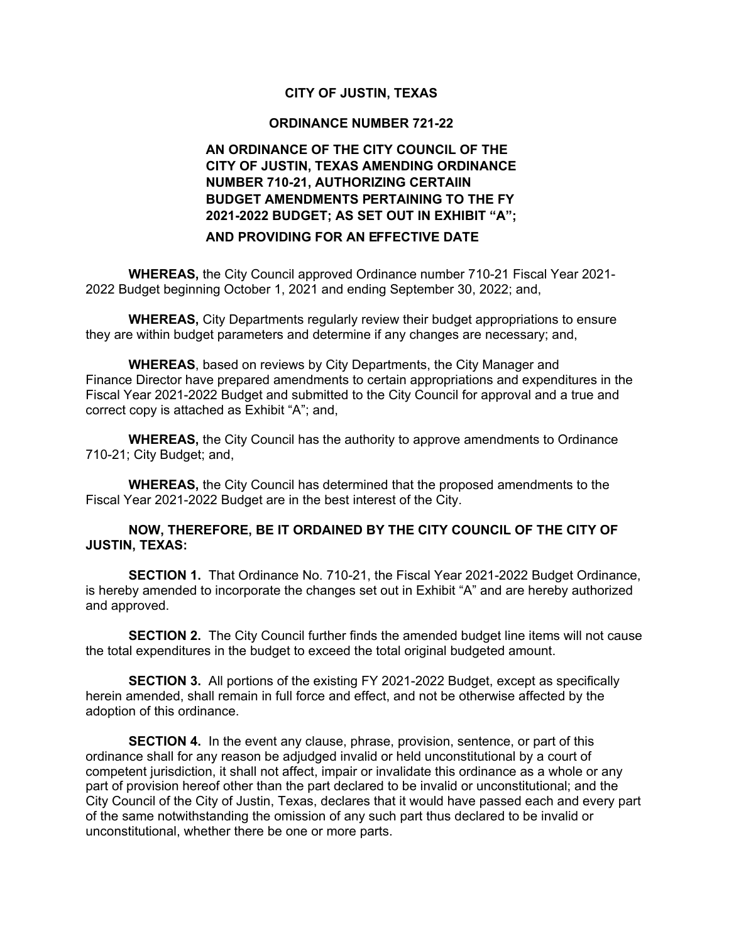#### **CITY OF JUSTIN, TEXAS**

#### **ORDINANCE NUMBER 721-22**

## **AN ORDINANCE OF THE CITY COUNCIL OF THE CITY OF JUSTIN, TEXAS AMENDING ORDINANCE NUMBER 710-21, AUTHORIZING CERTAIIN BUDGET AMENDMENTS PERTAINING TO THE FY 2021-2022 BUDGET; AS SET OUT IN EXHIBIT "A";**

#### **AND PROVIDING FOR AN EFFECTIVE DATE**

**WHEREAS,** the City Council approved Ordinance number 710-21 Fiscal Year 2021- 2022 Budget beginning October 1, 2021 and ending September 30, 2022; and,

**WHEREAS,** City Departments regularly review their budget appropriations to ensure they are within budget parameters and determine if any changes are necessary; and,

**WHEREAS**, based on reviews by City Departments, the City Manager and Finance Director have prepared amendments to certain appropriations and expenditures in the Fiscal Year 2021-2022 Budget and submitted to the City Council for approval and a true and correct copy is attached as Exhibit "A"; and,

**WHEREAS,** the City Council has the authority to approve amendments to Ordinance 710-21; City Budget; and,

**WHEREAS,** the City Council has determined that the proposed amendments to the Fiscal Year 2021-2022 Budget are in the best interest of the City.

#### **NOW, THEREFORE, BE IT ORDAINED BY THE CITY COUNCIL OF THE CITY OF JUSTIN, TEXAS:**

**SECTION 1.** That Ordinance No. 710-21, the Fiscal Year 2021-2022 Budget Ordinance, is hereby amended to incorporate the changes set out in Exhibit "A" and are hereby authorized and approved.

**SECTION 2.** The City Council further finds the amended budget line items will not cause the total expenditures in the budget to exceed the total original budgeted amount.

**SECTION 3.** All portions of the existing FY 2021-2022 Budget, except as specifically herein amended, shall remain in full force and effect, and not be otherwise affected by the adoption of this ordinance.

**SECTION 4.** In the event any clause, phrase, provision, sentence, or part of this ordinance shall for any reason be adjudged invalid or held unconstitutional by a court of competent jurisdiction, it shall not affect, impair or invalidate this ordinance as a whole or any part of provision hereof other than the part declared to be invalid or unconstitutional; and the City Council of the City of Justin, Texas, declares that it would have passed each and every part of the same notwithstanding the omission of any such part thus declared to be invalid or unconstitutional, whether there be one or more parts.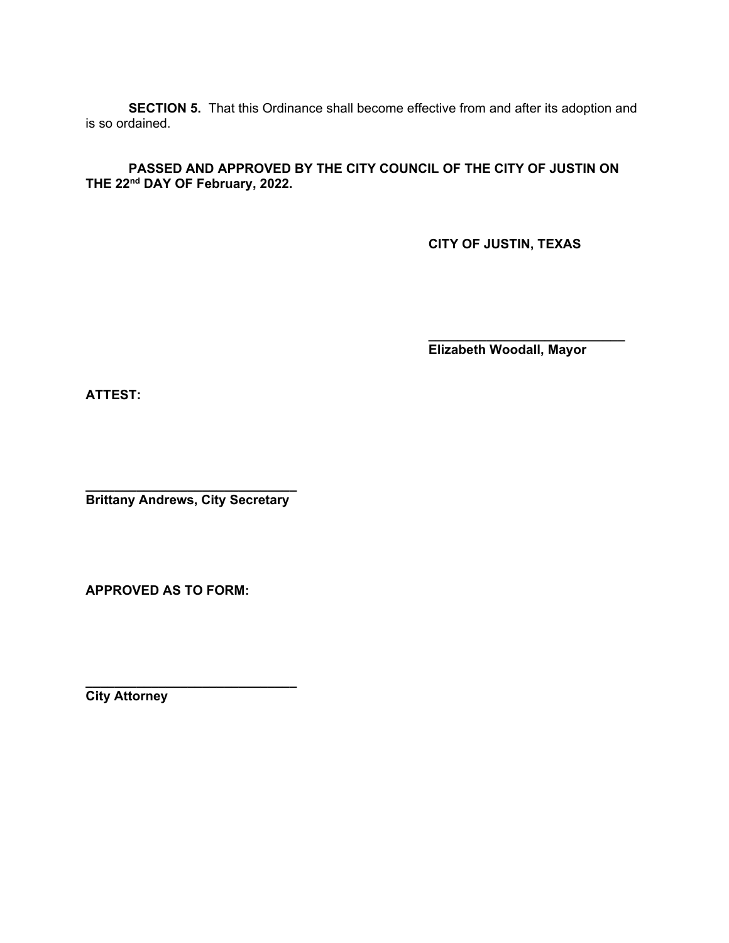**SECTION 5.** That this Ordinance shall become effective from and after its adoption and is so ordained.

**PASSED AND APPROVED BY THE CITY COUNCIL OF THE CITY OF JUSTIN ON THE 22nd DAY OF February, 2022.** 

**CITY OF JUSTIN, TEXAS**

**\_\_\_\_\_\_\_\_\_\_\_\_\_\_\_\_\_\_\_\_\_\_\_\_\_\_\_ Elizabeth Woodall, Mayor**

**ATTEST:** 

**\_\_\_\_\_\_\_\_\_\_\_\_\_\_\_\_\_\_\_\_\_\_\_\_\_\_\_\_\_ Brittany Andrews, City Secretary**

**APPROVED AS TO FORM:**

**\_\_\_\_\_\_\_\_\_\_\_\_\_\_\_\_\_\_\_\_\_\_\_\_\_\_\_\_\_ City Attorney**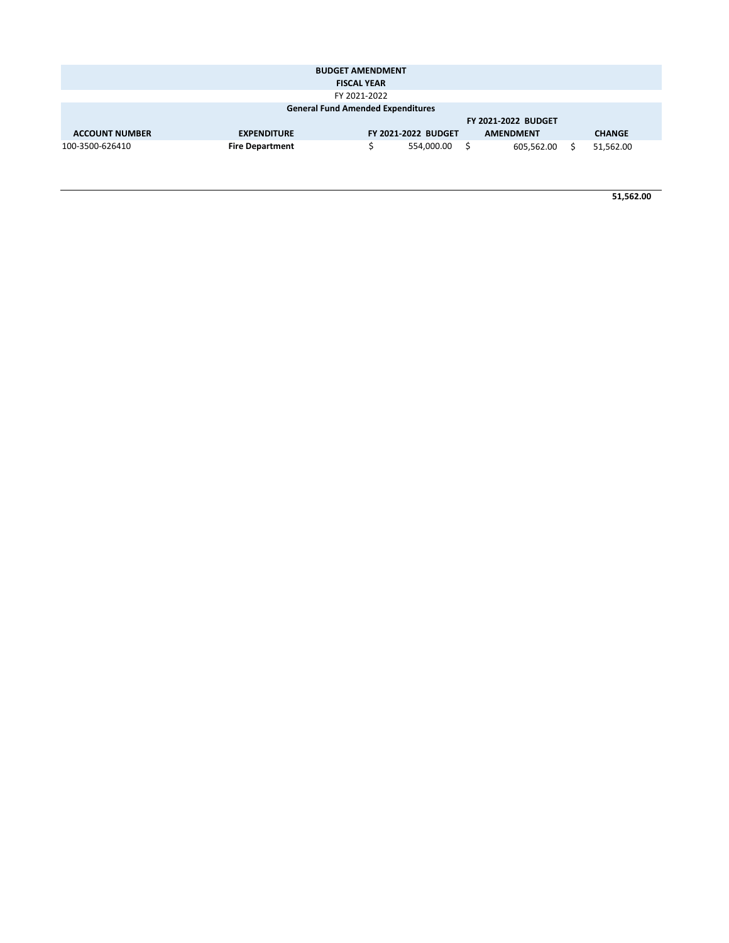|                                          |                    | <b>BUDGET AMENDMENT</b>    |  |                  |  |               |  |
|------------------------------------------|--------------------|----------------------------|--|------------------|--|---------------|--|
| <b>FISCAL YEAR</b>                       |                    |                            |  |                  |  |               |  |
| FY 2021-2022                             |                    |                            |  |                  |  |               |  |
| <b>General Fund Amended Expenditures</b> |                    |                            |  |                  |  |               |  |
|                                          |                    | <b>FY 2021-2022 BUDGET</b> |  |                  |  |               |  |
|                                          |                    |                            |  |                  |  |               |  |
| <b>ACCOUNT NUMBER</b>                    | <b>EXPENDITURE</b> | <b>FY 2021-2022 BUDGET</b> |  | <b>AMENDMENT</b> |  | <b>CHANGE</b> |  |

**51,562.00**